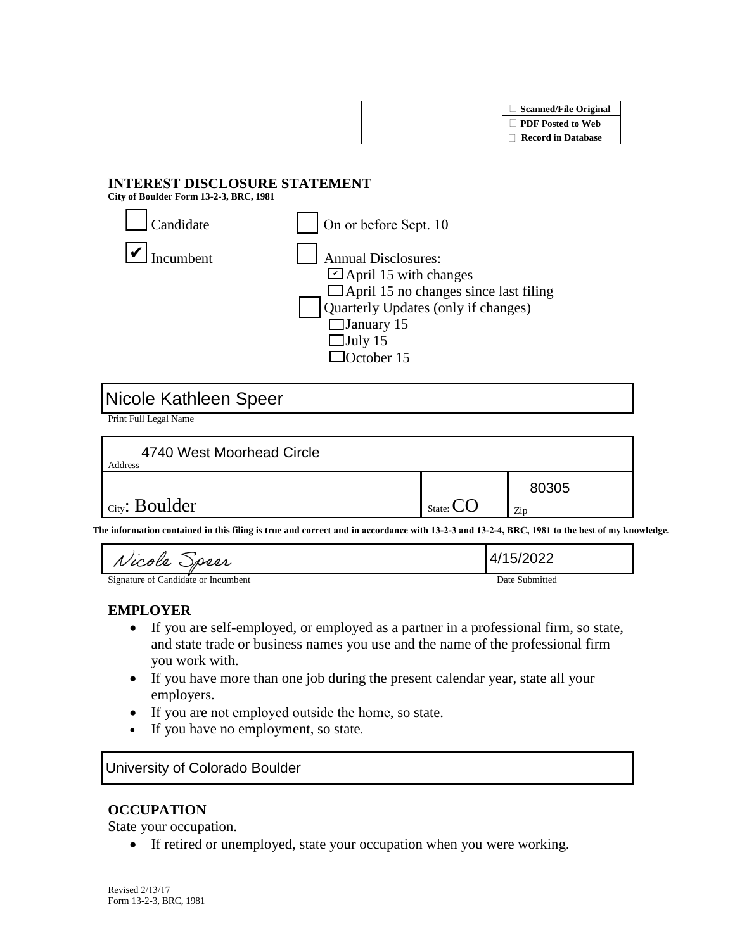

## **INTEREST DISCLOSURE STATEMENT**

**City of Boulder Form 13-2-3, BRC, 1981** 

| Candidate | On or before Sept. 10                                                                                                                                                                                   |
|-----------|---------------------------------------------------------------------------------------------------------------------------------------------------------------------------------------------------------|
| ncumhent  | <b>Annual Disclosures:</b><br>$\Box$ April 15 with changes<br>$\Box$ April 15 no changes since last filing<br>Quarterly Updates (only if changes)<br>$\Box$ January 15<br>$\Box$ July 15<br>lOctober 15 |

# Nicole Kathleen Speer

Print Full Legal Name

| 4740 West Moorhead Circle<br>Address |                              |              |
|--------------------------------------|------------------------------|--------------|
| $\vert$ City: Boulder                | State: $\mathbf{\mathsf{C}}$ | 80305<br>Zip |

**The information contained in this filing is true and correct and in accordance with 13-2-3 and 13-2-4, BRC, 1981 to the best of my knowledge.** 

| Nicole Speer                        | 4/15/2022      |
|-------------------------------------|----------------|
| Signature of Candidate or Incumbent | Date Submitted |

### **EMPLOYER**

- If you are self-employed, or employed as a partner in a professional firm, so state, and state trade or business names you use and the name of the professional firm you work with.
- If you have more than one job during the present calendar year, state all your employers.
- If you are not employed outside the home, so state.
- If you have no employment, so state.

# University of Colorado Boulder

### **OCCUPATION**

State your occupation.

• If retired or unemployed, state your occupation when you were working.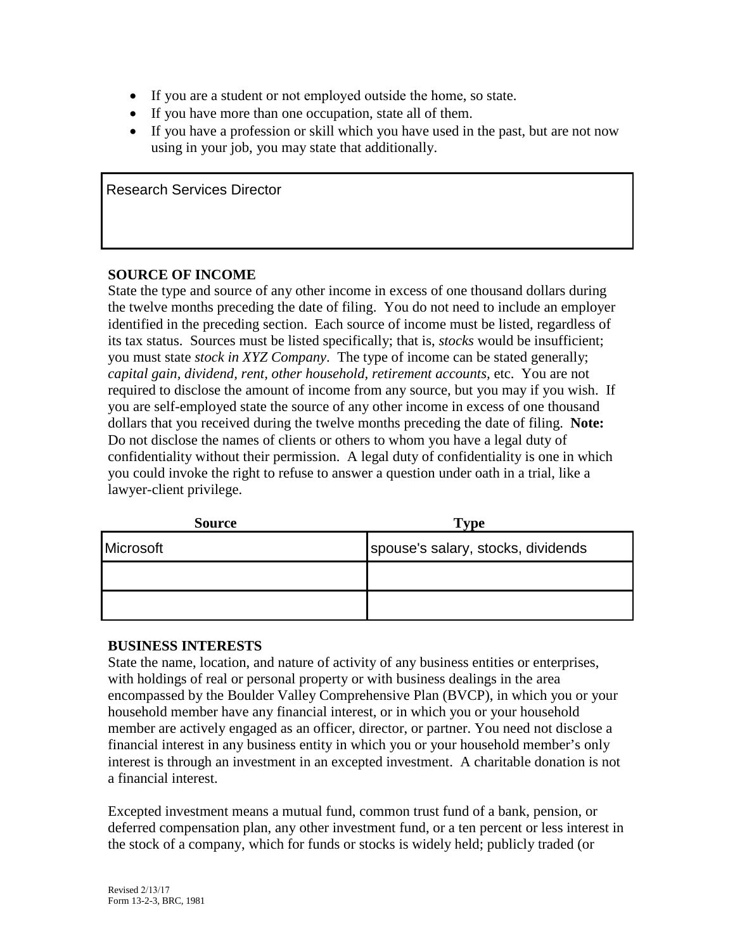- If you are a student or not employed outside the home, so state.
- If you have more than one occupation, state all of them.
- If you have a profession or skill which you have used in the past, but are not now using in your job, you may state that additionally.

Research Services Director

#### **SOURCE OF INCOME**

State the type and source of any other income in excess of one thousand dollars during the twelve months preceding the date of filing. You do not need to include an employer identified in the preceding section. Each source of income must be listed, regardless of its tax status. Sources must be listed specifically; that is, *stocks* would be insufficient; you must state *stock in XYZ Company*. The type of income can be stated generally; *capital gain, dividend, rent, other household, retirement accounts,* etc. You are not required to disclose the amount of income from any source, but you may if you wish. If you are self-employed state the source of any other income in excess of one thousand dollars that you received during the twelve months preceding the date of filing. **Note:**  Do not disclose the names of clients or others to whom you have a legal duty of confidentiality without their permission. A legal duty of confidentiality is one in which you could invoke the right to refuse to answer a question under oath in a trial, like a lawyer-client privilege.

| <b>Source</b> | Type                               |
|---------------|------------------------------------|
| Microsoft     | spouse's salary, stocks, dividends |
|               |                                    |
|               |                                    |

#### **BUSINESS INTERESTS**

State the name, location, and nature of activity of any business entities or enterprises, with holdings of real or personal property or with business dealings in the area encompassed by the Boulder Valley Comprehensive Plan (BVCP), in which you or your household member have any financial interest, or in which you or your household member are actively engaged as an officer, director, or partner. You need not disclose a financial interest in any business entity in which you or your household member's only interest is through an investment in an excepted investment. A charitable donation is not a financial interest.

Excepted investment means a mutual fund, common trust fund of a bank, pension, or deferred compensation plan, any other investment fund, or a ten percent or less interest in the stock of a company, which for funds or stocks is widely held; publicly traded (or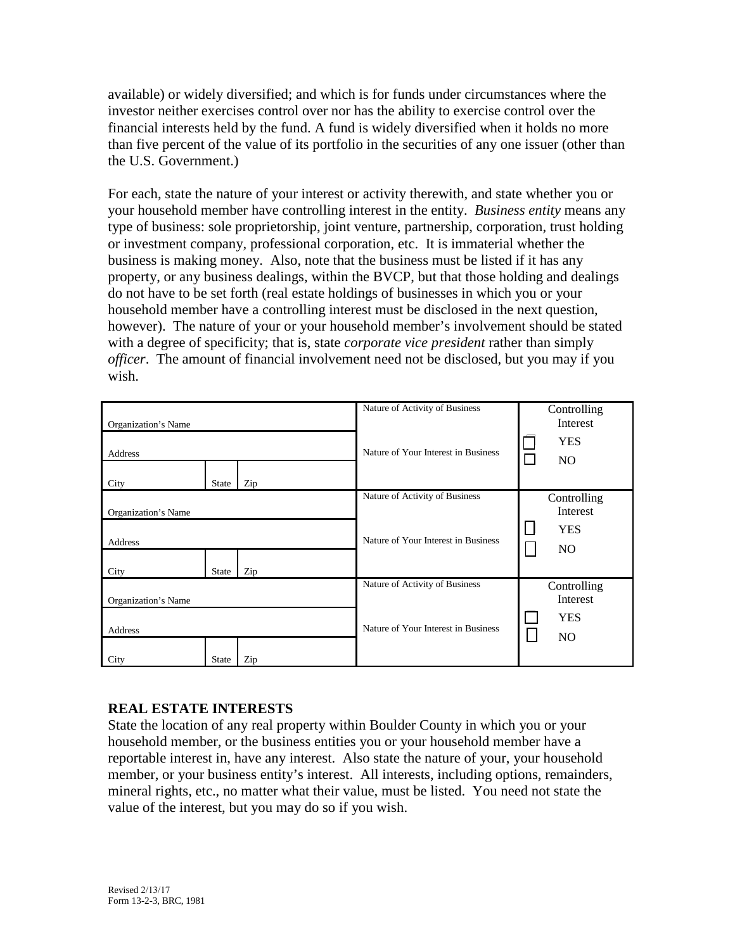available) or widely diversified; and which is for funds under circumstances where the investor neither exercises control over nor has the ability to exercise control over the financial interests held by the fund. A fund is widely diversified when it holds no more than five percent of the value of its portfolio in the securities of any one issuer (other than the U.S. Government.)

For each, state the nature of your interest or activity therewith, and state whether you or your household member have controlling interest in the entity. *Business entity* means any type of business: sole proprietorship, joint venture, partnership, corporation, trust holding or investment company, professional corporation, etc. It is immaterial whether the business is making money. Also, note that the business must be listed if it has any property, or any business dealings, within the BVCP, but that those holding and dealings do not have to be set forth (real estate holdings of businesses in which you or your household member have a controlling interest must be disclosed in the next question, however). The nature of your or your household member's involvement should be stated with a degree of specificity; that is, state *corporate vice president* rather than simply *officer*. The amount of financial involvement need not be disclosed, but you may if you wish.

| Organization's Name                    |       |                                     | Nature of Activity of Business                                        | Controlling<br>Interest                                                 |
|----------------------------------------|-------|-------------------------------------|-----------------------------------------------------------------------|-------------------------------------------------------------------------|
| Address                                |       | Nature of Your Interest in Business | <b>YES</b><br>$\Box$<br>N <sub>O</sub>                                |                                                                         |
| City                                   | State | Zip                                 |                                                                       |                                                                         |
| Organization's Name<br>Address<br>City | State | Zip                                 | Nature of Activity of Business<br>Nature of Your Interest in Business | Controlling<br>Interest<br>$\mathsf{L}$<br><b>YES</b><br>N <sub>O</sub> |
| Organization's Name<br>Address         |       |                                     | Nature of Activity of Business<br>Nature of Your Interest in Business | Controlling<br>Interest<br><b>YES</b><br>N <sub>O</sub>                 |
| City                                   | State | Zip                                 |                                                                       |                                                                         |

# **REAL ESTATE INTERESTS**

State the location of any real property within Boulder County in which you or your household member, or the business entities you or your household member have a reportable interest in, have any interest. Also state the nature of your, your household member, or your business entity's interest. All interests, including options, remainders, mineral rights, etc., no matter what their value, must be listed. You need not state the value of the interest, but you may do so if you wish.